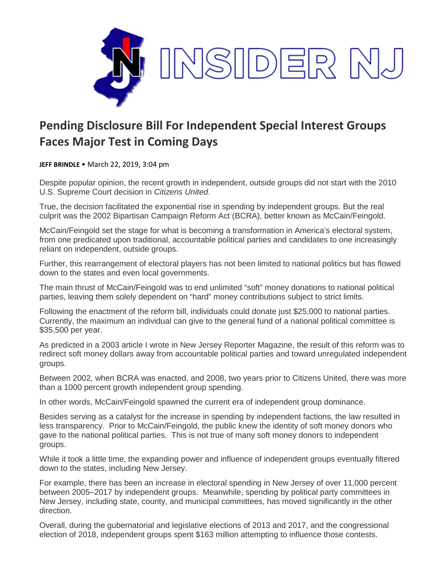

## **Pending Disclosure Bill For Independent Special Interest Groups Faces Major Test in Coming Days**

**JEFF BRINDLE** • March 22, 2019, 3:04 pm

Despite popular opinion, the recent growth in independent, outside groups did not start with the 2010 U.S. Supreme Court decision in *Citizens United*.

True, the decision facilitated the exponential rise in spending by independent groups. But the real culprit was the 2002 Bipartisan Campaign Reform Act (BCRA), better known as McCain/Feingold.

McCain/Feingold set the stage for what is becoming a transformation in America's electoral system, from one predicated upon traditional, accountable political parties and candidates to one increasingly reliant on independent, outside groups.

Further, this rearrangement of electoral players has not been limited to national politics but has flowed down to the states and even local governments.

The main thrust of McCain/Feingold was to end unlimited "soft" money donations to national political parties, leaving them solely dependent on "hard" money contributions subject to strict limits.

Following the enactment of the reform bill, individuals could donate just \$25,000 to national parties. Currently, the maximum an individual can give to the general fund of a national political committee is \$35,500 per year.

As predicted in a 2003 article I wrote in New Jersey Reporter Magazine, the result of this reform was to redirect soft money dollars away from accountable political parties and toward unregulated independent groups.

Between 2002, when BCRA was enacted, and 2008, two years prior to Citizens United, there was more than a 1000 percent growth independent group spending.

In other words, McCain/Feingold spawned the current era of independent group dominance.

Besides serving as a catalyst for the increase in spending by independent factions, the law resulted in less transparency. Prior to McCain/Feingold, the public knew the identity of soft money donors who gave to the national political parties. This is not true of many soft money donors to independent groups.

While it took a little time, the expanding power and influence of independent groups eventually filtered down to the states, including New Jersey.

For example, there has been an increase in electoral spending in New Jersey of over 11,000 percent between 2005–2017 by independent groups. Meanwhile, spending by political party committees in New Jersey, including state, county, and municipal committees, has moved significantly in the other direction.

Overall, during the gubernatorial and legislative elections of 2013 and 2017, and the congressional election of 2018, independent groups spent \$163 million attempting to influence those contests.